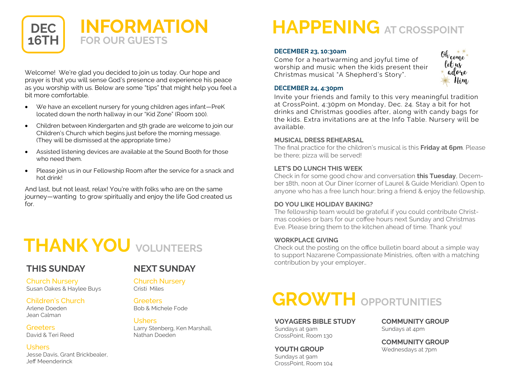

Welcome! We're glad you decided to join us today. Our hope and prayer is that you will sense God's presence and experience his peace as you worship with us. Below are some "tips" that might help you feel a bit more comfortable.

- We have an excellent nursery for young children ages infant—PreK located down the north hallway in our "Kid Zone" (Room 100).
- Children between Kindergarten and 5th grade are welcome to join our Children's Church which begins just before the morning message. (They will be dismissed at the appropriate time.)
- Assisted listening devices are available at the Sound Booth for those who need them.
- Please join us in our Fellowship Room after the service for a snack and hot drink!

And last, but not least, relax! You're with folks who are on the same journey—wanting to grow spiritually and enjoy the life God created us for.

## **THANK YOU VOLUNTEERS**

### **THIS SUNDAY**

### **NEXT SUNDAY**

Church Nursery Susan Oakes & Haylee Buys

#### Children's Church

Arlene Doeden Jean Calman

**Greeters** David & Teri Reed

#### Ushers

Jesse Davis, Grant Brickbealer, Jeff Meenderinck

## Church Nursery

Cristi Miles

#### **Greeters**

Bob & Michele Fode

#### Ushers

Larry Stenberg, Ken Marshall, Nathan Doeden

# **HAPPENING AT CROSSPOINT**

#### **DECEMBER 23, 10:30am**

Come for a heartwarming and joyful time of worship and music when the kids present their Christmas musical "A Shepherd's Story".



#### **DECEMBER 24, 4:30pm**

Invite your friends and family to this very meaningful tradition at CrossPoint, 4:30pm on Monday, Dec. 24. Stay a bit for hot drinks and Christmas goodies after, along with candy bags for the kids. Extra invitations are at the Info Table. Nursery will be available.

#### **MUSICAL DRESS REHEARSAL**

The final practice for the children's musical is this **Friday at 6pm**. Please be there; pizza will be served!

#### **LET'S DO LUNCH THIS WEEK**

Check in for some good chow and conversation **this Tuesday**, December 18th, noon at Our Diner (corner of Laurel & Guide Meridian). Open to anyone who has a free lunch hour; bring a friend & enjoy the fellowship,

#### **DO YOU LIKE HOLIDAY BAKING?**

The fellowship team would be grateful if you could contribute Christmas cookies or bars for our coffee hours next Sunday and Christmas Eve. Please bring them to the kitchen ahead of time. Thank you!

#### **WORKPLACE GIVING**

Check out the posting on the office bulletin board about a simple way to support Nazarene Compassionate Ministries, often with a matching contribution by your employer..

# **GROWTH OPPORTUNITIES**

**VOYAGERS BIBLE STUDY**

Sundays at 9am CrossPoint, Room 130

#### **YOUTH GROUP**

Sundays at 9am CrossPoint, Room 104 **COMMUNITY GROUP** Sundays at 4pm

**COMMUNITY GROUP** Wednesdays at 7pm